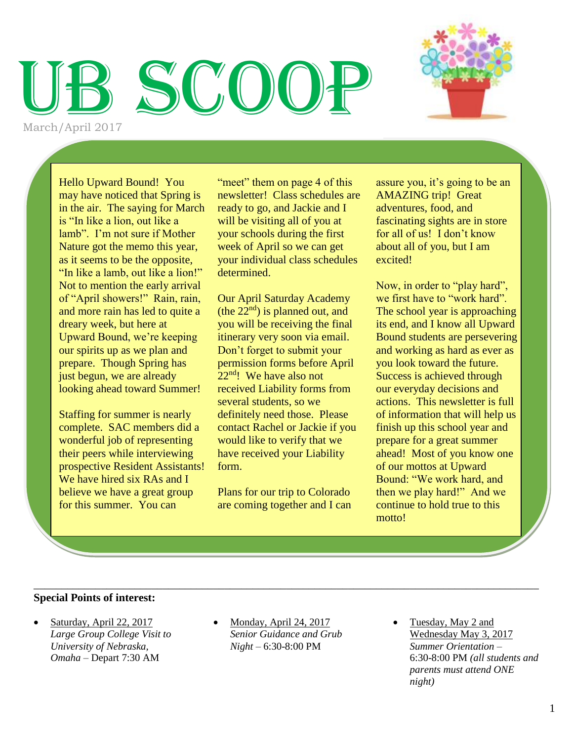# SCOO

March/April 2017

Hello Upward Bound! You may have noticed that Spring is in the air. The saying for March is "In like a lion, out like a lamb". I'm not sure if Mother Nature got the memo this year, as it seems to be the opposite, "In like a lamb, out like a lion!" Not to mention the early arrival of "April showers!" Rain, rain, and more rain has led to quite a dreary week, but here at Upward Bound, we're keeping our spirits up as we plan and prepare. Though Spring has just begun, we are already looking ahead toward Summer!

Staffing for summer is nearly complete. SAC members did a wonderful job of representing their peers while interviewing prospective Resident Assistants! We have hired six RAs and I believe we have a great group for this summer. You can

"meet" them on page 4 of this newsletter! Class schedules are ready to go, and Jackie and I will be visiting all of you at your schools during the first week of April so we can get your individual class schedules determined.

Our April Saturday Academy (the  $22<sup>nd</sup>$ ) is planned out, and you will be receiving the final itinerary very soon via email. Don't forget to submit your permission forms before April 22<sup>nd</sup>! We have also not received Liability forms from several students, so we definitely need those. Please contact Rachel or Jackie if you would like to verify that we have received your Liability form.

Plans for our trip to Colorado are coming together and I can assure you, it's going to be an AMAZING trip! Great adventures, food, and fascinating sights are in store for all of us! I don't know about all of you, but I am excited!

Now, in order to "play hard", we first have to "work hard". The school year is approaching its end, and I know all Upward Bound students are persevering and working as hard as ever as you look toward the future. Success is achieved through our everyday decisions and actions. This newsletter is full of information that will help us finish up this school year and prepare for a great summer ahead! Most of you know one of our mottos at Upward Bound: "We work hard, and then we play hard!" And we continue to hold true to this motto!

#### \_\_\_\_\_\_\_\_\_\_\_\_\_\_\_\_\_\_\_\_\_\_\_\_\_\_\_\_\_\_\_\_\_\_\_\_\_\_\_\_\_\_\_\_\_\_\_\_\_\_\_\_\_\_\_\_\_\_\_\_\_\_\_\_\_\_\_\_\_\_\_\_\_\_\_\_\_\_\_\_\_\_\_\_\_\_\_\_\_\_ **Special Points of interest:**

- Saturday, April 22, 2017 *Large Group College Visit to University of Nebraska, Omaha –* Depart 7:30 AM
- Monday, April 24, 2017 *Senior Guidance and Grub Night –* 6:30-8:00 PM
- Tuesday, May 2 and Wednesday May 3, 2017 *Summer Orientation –* 6:30-8:00 PM *(all students and parents must attend ONE night)*

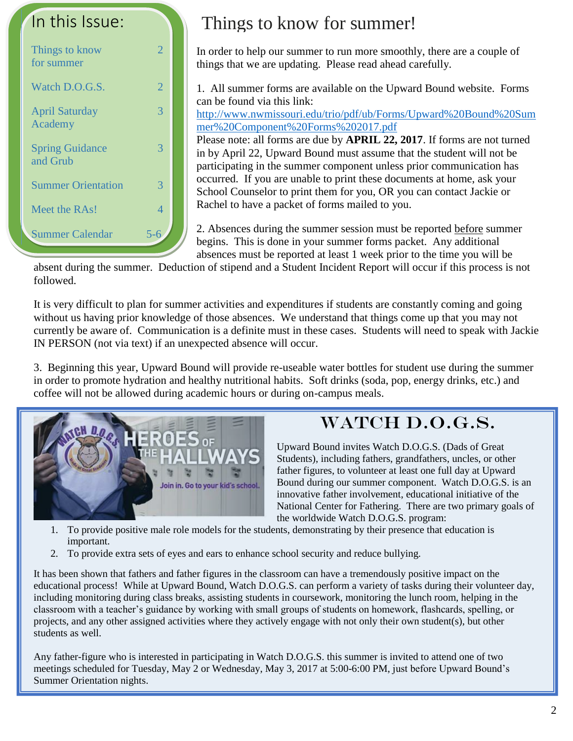

# Things to know for summer!

In order to help our summer to run more smoothly, there are a couple of things that we are updating. Please read ahead carefully.

1. All summer forms are available on the Upward Bound website. Forms can be found via this link:

[http://www.nwmissouri.edu/trio/pdf/ub/Forms/Upward%20Bound%20Sum](http://www.nwmissouri.edu/trio/pdf/ub/Forms/Upward%20Bound%20Summer%20Component%20Forms%202017.pdf) [mer%20Component%20Forms%202017.pdf](http://www.nwmissouri.edu/trio/pdf/ub/Forms/Upward%20Bound%20Summer%20Component%20Forms%202017.pdf)

Please note: all forms are due by **APRIL 22, 2017**. If forms are not turned in by April 22, Upward Bound must assume that the student will not be participating in the summer component unless prior communication has occurred. If you are unable to print these documents at home, ask your School Counselor to print them for you, OR you can contact Jackie or Rachel to have a packet of forms mailed to you.

2. Absences during the summer session must be reported before summer begins. This is done in your summer forms packet. Any additional absences must be reported at least 1 week prior to the time you will be

absent during the summer. Deduction of stipend and a Student Incident Report will occur if this process is not followed.

It is very difficult to plan for summer activities and expenditures if students are constantly coming and going without us having prior knowledge of those absences. We understand that things come up that you may not currently be aware of. Communication is a definite must in these cases. Students will need to speak with Jackie IN PERSON (not via text) if an unexpected absence will occur.

3. Beginning this year, Upward Bound will provide re-useable water bottles for student use during the summer in order to promote hydration and healthy nutritional habits. Soft drinks (soda, pop, energy drinks, etc.) and coffee will not be allowed during academic hours or during on-campus meals.



# WATCH D.O.G.S.

Upward Bound invites Watch D.O.G.S. (Dads of Great Students), including fathers, grandfathers, uncles, or other father figures, to volunteer at least one full day at Upward Bound during our summer component. Watch D.O.G.S. is an innovative father involvement, educational initiative of the National Center for Fathering. There are two primary goals of the worldwide Watch D.O.G.S. program:

- 1. To provide positive male role models for the students, demonstrating by their presence that education is important.
- 2. To provide extra sets of eyes and ears to enhance school security and reduce bullying.

It has been shown that fathers and father figures in the classroom can have a tremendously positive impact on the educational process! While at Upward Bound, Watch D.O.G.S. can perform a variety of tasks during their volunteer day, including monitoring during class breaks, assisting students in coursework, monitoring the lunch room, helping in the classroom with a teacher's guidance by working with small groups of students on homework, flashcards, spelling, or projects, and any other assigned activities where they actively engage with not only their own student(s), but other students as well.

Any father-figure who is interested in participating in Watch D.O.G.S. this summer is invited to attend one of two meetings scheduled for Tuesday, May 2 or Wednesday, May 3, 2017 at 5:00-6:00 PM, just before Upward Bound's Summer Orientation nights.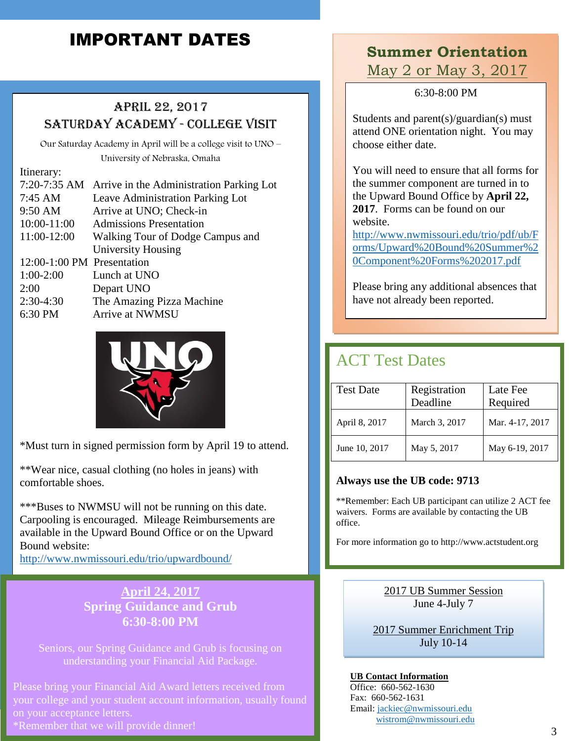# IMPORTANT DATES

# April 22, 2017 Saturday Academy - College Visit

Our Saturday Academy in April will be a college visit to UNO – University of Nebraska, Omaha

#### Itinerary:

|                            | 7:20-7:35 AM Arrive in the Administration Parking Lot |
|----------------------------|-------------------------------------------------------|
| $7:45 \text{ AM}$          | Leave Administration Parking Lot                      |
| 9:50 AM                    | Arrive at UNO; Check-in                               |
| 10:00-11:00                | <b>Admissions Presentation</b>                        |
| 11:00-12:00                | Walking Tour of Dodge Campus and                      |
|                            | University Housing                                    |
| 12:00-1:00 PM Presentation |                                                       |
| $1:00-2:00$                | Lunch at UNO                                          |
| 2:00                       | Depart UNO                                            |
| $2:30-4:30$                | The Amazing Pizza Machine                             |
| 6:30 PM                    | Arrive at NWMSU                                       |
|                            |                                                       |



\*Must turn in signed permission form by April 19 to attend.

\*\*Wear nice, casual clothing (no holes in jeans) with comfortable shoes.

\*\*\*Buses to NWMSU will not be running on this date. Carpooling is encouraged. Mileage Reimbursements are available in the Upward Bound Office or on the Upward Bound website:

<http://www.nwmissouri.edu/trio/upwardbound/>

## **April 24, 2017 Spring Guidance and Grub 6:30-8:00 PM**

Seniors, our Spring Guidance and Grub is focusing on understanding your Financial Aid Package.

Please bring your Financial Aid Award letters received from your college and your student account information, usually found on your acceptance letters.

\*Remember that we will provide dinner!

# **Summer Orientation** May 2 or May 3, 2017

6:30-8:00 PM

Students and parent(s)/guardian(s) must attend ONE orientation night. You may choose either date.

You will need to ensure that all forms for the summer component are turned in to the Upward Bound Office by **April 22, 2017**. Forms can be found on our website.

[http://www.nwmissouri.edu/trio/pdf/ub/F](http://www.nwmissouri.edu/trio/pdf/ub/Forms/Upward%20Bound%20Summer%20Component%20Forms%202017.pdf) [orms/Upward%20Bound%20Summer%2](http://www.nwmissouri.edu/trio/pdf/ub/Forms/Upward%20Bound%20Summer%20Component%20Forms%202017.pdf) [0Component%20Forms%202017.pdf](http://www.nwmissouri.edu/trio/pdf/ub/Forms/Upward%20Bound%20Summer%20Component%20Forms%202017.pdf)

Please bring any additional absences that have not already been reported.

# ACT Test Dates

| <b>Test Date</b> | Registration<br>Deadline | Late Fee<br>Required |
|------------------|--------------------------|----------------------|
| April 8, 2017    | March 3, 2017            | Mar. 4-17, 2017      |
| June 10, 2017    | May 5, 2017              | May 6-19, 2017       |

#### **Always use the UB code: 9713**

\*\*Remember: Each UB participant can utilize 2 ACT fee waivers. Forms are available by contacting the UB office.

For more information go to http://www.actstudent.org

2017 UB Summer Session June 4-July 7

2017 Summer Enrichment Trip July 10-14

**UB Contact Information** Office: 660-562-1630 Fax: 660-562-1631 Email: [jackiec@nwmissouri.edu](mailto:jackiec@nwmissouri.edu) [wistrom@nwmissouri.edu](mailto:wistrom@nwmissouri.edu)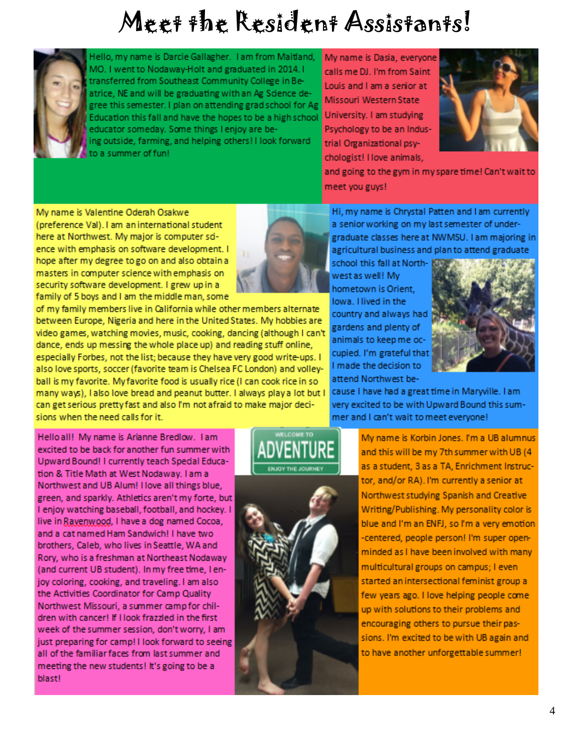# Meet the Resident Assistants!



Hello, my name is Darcie Gallagher. I am from Maitland, MO. I went to Nodaway-Holt and graduated in 2014. I transferred from Southeast Community College in Beatrice, NE and will be graduating with an Ag Science degree this semester. I plan on attending grad school for Ag Education this fall and have the hopes to be a high school educator someday. Some things I enjoy are being outside, farming, and helping others! I look forward to a summer of fun!

My name is Dasia, everyone calls me DJ. I'm from Saint Louis and I am a senior at Missouri Western State University. I am studying Psychology to be an Industrial Organizational psychologist! I love animals,



and going to the gym in my spare time! Can't wait to meet you guys!

My name is Valentine Oderah Osakwe (preference Val). I am an international student here at Northwest. My major is computer sdence with emphasis on software development. I hope after my degree to go on and also obtain a masters in computer science with emphasis on security software development. I grew up in a family of 5 boys and I am the middle man, some



of my family members live in California while other members alternate between Europe, Nigeria and here in the United States. My hobbies are video games, watching movies, music, cooking, dancing (although I can't dance, ends up messing the whole place up) and reading stuff online, especially Forbes, not the list; because they have very good write-ups. I also love sports, soccer (favorite team is Chelsea FC London) and volleyball is my favorite. My favorite food is usually rice (I can cook rice in so many ways), I also love bread and peanut butter. I always play a lot but I can get serious pretty fast and also I'm not afraid to make major decisions when the need calls for it.

Hi, my name is Chrystal Patten and I am currently a senior working on my last semester of undergraduate classes here at NWMSU. I am majoring in agricultural business and plan to attend graduate

school this fall at Northwest as well! My hometown is Orient. lowa. Hived in the country and always had gardens and plenty of animals to keep me occupied. I'm grateful that I made the decision to attend Northwest be-



cause I have had a great time in Maryville. I am very excited to be with Upward Bound this summer and I can't wait to meet everyone!

Hello all! My name is Arianne Bredlow. I am excited to be back for another fun summer with Upward Bound! I currently teach Special Education & Title Math at West Nodaway. I am a Northwest and UB Alum! Hove all things blue, green, and sparkly. Athletics aren't my forte, but I enjoy watching baseball, football, and hockey. I live in Ravenwood. I have a dog named Cocoa, and a cat named Ham Sandwich! I have two brothers, Caleb, who lives in Seattle, WA and Rory, who is a freshman at Northeast Nodaway (and current UB student). In my free time, I enjoy coloring, cooking, and traveling. I am also the Activities Coordinator for Camp Quality Northwest Missouri, a summer camp for children with cancer! If I look frazzled in the first week of the summer session, don't worry, I am just preparing for camp! I look forward to seeing all of the familiar faces from last summer and meeting the new students! It's going to be a blast!





My name is Korbin Jones. I'm a UB alumnus and this will be my 7th summer with UB (4 as a student, 3 as a TA, Enrichment Instructor, and/or RA). I'm currently a senior at Northwest studying Spanish and Creative Writing/Publishing. My personality color is blue and I'm an ENFJ, so I'm a very emotion -centered, people person! I'm super openminded as I have been involved with many multicultural groups on campus; I even started an intersectional feminist group a few years ago. I love helping people come up with solutions to their problems and encouraging others to pursue their passions. I'm excited to be with UB again and to have another unforgettable summer!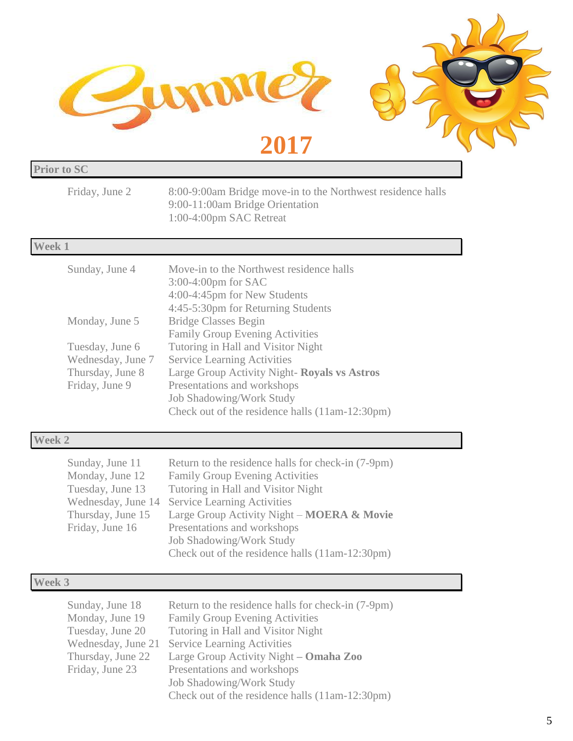

| <b>Prior to SC</b>                                                                                                   |                                                                                                                                                                                                                                                                                                                                                                                                                                                                 |  |
|----------------------------------------------------------------------------------------------------------------------|-----------------------------------------------------------------------------------------------------------------------------------------------------------------------------------------------------------------------------------------------------------------------------------------------------------------------------------------------------------------------------------------------------------------------------------------------------------------|--|
| Friday, June 2                                                                                                       | 8:00-9:00am Bridge move-in to the Northwest residence halls<br>9:00-11:00am Bridge Orientation<br>1:00-4:00pm SAC Retreat                                                                                                                                                                                                                                                                                                                                       |  |
| <b>Week 1</b>                                                                                                        |                                                                                                                                                                                                                                                                                                                                                                                                                                                                 |  |
| Sunday, June 4<br>Monday, June 5<br>Tuesday, June 6<br>Wednesday, June 7<br>Thursday, June 8<br>Friday, June 9       | Move-in to the Northwest residence halls<br>3:00-4:00pm for SAC<br>4:00-4:45pm for New Students<br>4:45-5:30pm for Returning Students<br><b>Bridge Classes Begin</b><br><b>Family Group Evening Activities</b><br>Tutoring in Hall and Visitor Night<br><b>Service Learning Activities</b><br>Large Group Activity Night- Royals vs Astros<br>Presentations and workshops<br><b>Job Shadowing/Work Study</b><br>Check out of the residence halls (11am-12:30pm) |  |
| <b>Week 2</b>                                                                                                        |                                                                                                                                                                                                                                                                                                                                                                                                                                                                 |  |
| Sunday, June 11<br>Monday, June 12<br>Tuesday, June 13<br>Wednesday, June 14<br>Thursday, June 15<br>Friday, June 16 | Return to the residence halls for check-in (7-9pm)<br><b>Family Group Evening Activities</b><br>Tutoring in Hall and Visitor Night<br><b>Service Learning Activities</b><br>Large Group Activity Night – MOERA & Movie<br>Presentations and workshops<br><b>Job Shadowing/Work Study</b><br>Check out of the residence halls (11am-12:30pm)                                                                                                                     |  |
| Week 3                                                                                                               |                                                                                                                                                                                                                                                                                                                                                                                                                                                                 |  |
| Sunday, June 18<br>Monday, June 19<br>Tuesday, June 20<br>Wednesday, June 21<br>Thursday, June 22                    | Return to the residence halls for check-in (7-9pm)<br><b>Family Group Evening Activities</b><br>Tutoring in Hall and Visitor Night<br><b>Service Learning Activities</b><br>Large Group Activity Night - Omaha Zoo                                                                                                                                                                                                                                              |  |

Friday, June 23 Presentations and workshops

Job Shadowing/Work Study

Check out of the residence halls (11am-12:30pm)